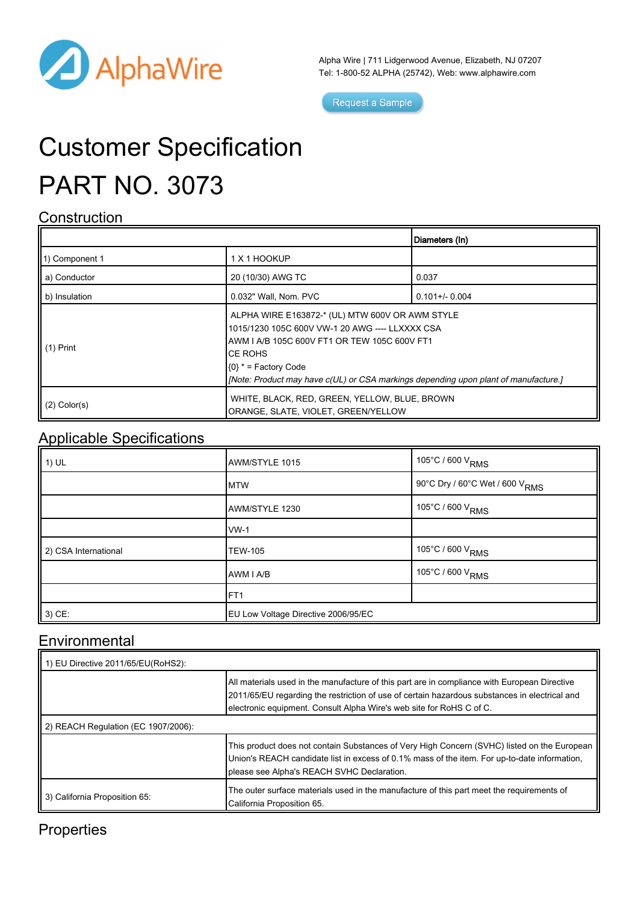

Alpha Wire | 711 Lidgerwood Avenue, Elizabeth, NJ 07207 Tel: 1-800-52 ALPHA (25742), Web: [www.alphawire.com](http://www.alphawire.com)

Request a Sample

# Customer Specification PART NO. 3073

#### **Construction**

|                       |                                                                                                                                                                                                                                                                                 | Diameters (In)    |
|-----------------------|---------------------------------------------------------------------------------------------------------------------------------------------------------------------------------------------------------------------------------------------------------------------------------|-------------------|
| 11) Component 1       | 1 X 1 HOOKUP                                                                                                                                                                                                                                                                    |                   |
| a) Conductor          | 20 (10/30) AWG TC                                                                                                                                                                                                                                                               | 0.037             |
| b) Insulation         | 0.032" Wall, Nom. PVC                                                                                                                                                                                                                                                           | $0.101 +/- 0.004$ |
| $\parallel$ (1) Print | ALPHA WIRE E163872-* (UL) MTW 600V OR AWM STYLE<br>1015/1230 105C 600V VW-1 20 AWG ---- LLXXXX CSA<br>AWM I A/B 105C 600V FT1 OR TEW 105C 600V FT1<br>ICE ROHS<br>$(0)$ * = Factory Code<br>[Note: Product may have c(UL) or CSA markings depending upon plant of manufacture.] |                   |
| $(2)$ Color(s)        | WHITE, BLACK, RED, GREEN, YELLOW, BLUE, BROWN<br>ORANGE, SLATE, VIOLET, GREEN/YELLOW                                                                                                                                                                                            |                   |

#### Applicable Specifications

| $\vert$ 1) UL        | AWM/STYLE 1015                      | 105°C / 600 V <sub>RMS</sub>                 |
|----------------------|-------------------------------------|----------------------------------------------|
|                      | <b>MTW</b>                          | , 90°C Dry / 60°C Wet / 600 V <sub>RMS</sub> |
|                      | AWM/STYLE 1230                      | 105°C / 600 V <sub>RMS</sub>                 |
|                      | <b>VW-1</b>                         |                                              |
| 2) CSA International | <b>TEW-105</b>                      | 105°C / 600 V <sub>RMS</sub>                 |
|                      | AWM I A/B                           | 105°C / 600 V <sub>RMS</sub>                 |
|                      | FT <sub>1</sub>                     |                                              |
| 3) CE:               | EU Low Voltage Directive 2006/95/EC |                                              |

### **Environmental**

| 1) EU Directive 2011/65/EU(RoHS2):  |                                                                                                                                                                                                                                                                       |  |
|-------------------------------------|-----------------------------------------------------------------------------------------------------------------------------------------------------------------------------------------------------------------------------------------------------------------------|--|
|                                     | All materials used in the manufacture of this part are in compliance with European Directive<br>2011/65/EU regarding the restriction of use of certain hazardous substances in electrical and<br>electronic equipment. Consult Alpha Wire's web site for RoHS C of C. |  |
| 2) REACH Regulation (EC 1907/2006): |                                                                                                                                                                                                                                                                       |  |
|                                     | This product does not contain Substances of Very High Concern (SVHC) listed on the European<br>Union's REACH candidate list in excess of 0.1% mass of the item. For up-to-date information,<br>please see Alpha's REACH SVHC Declaration.                             |  |
| 3) California Proposition 65:       | The outer surface materials used in the manufacture of this part meet the requirements of<br>California Proposition 65.                                                                                                                                               |  |

## **Properties**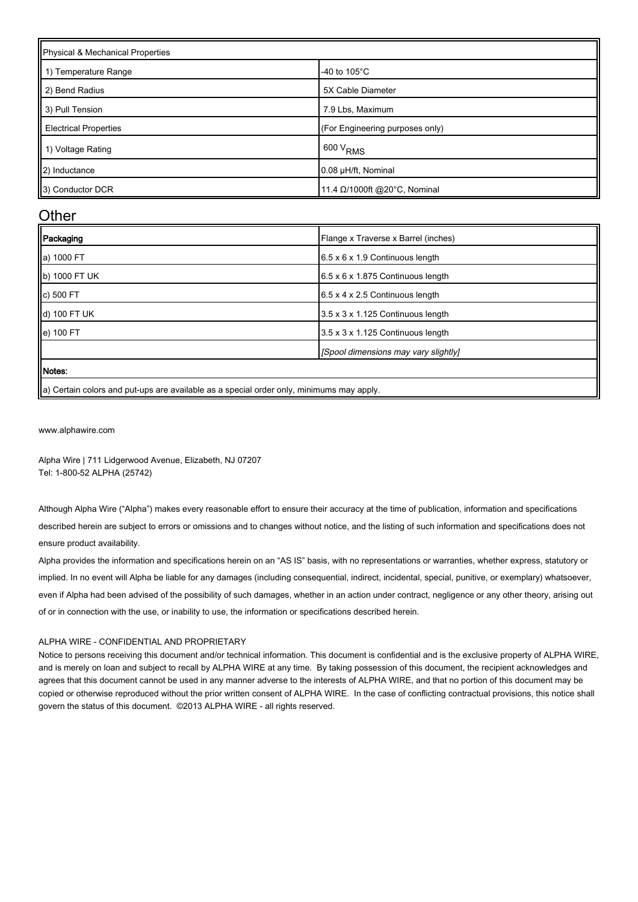| Physical & Mechanical Properties |                                 |  |
|----------------------------------|---------------------------------|--|
| 1) Temperature Range             | -40 to $105^{\circ}$ C          |  |
| 2) Bend Radius                   | 5X Cable Diameter               |  |
| 3) Pull Tension                  | 7.9 Lbs, Maximum                |  |
| <b>Electrical Properties</b>     | (For Engineering purposes only) |  |
| 1) Voltage Rating                | 600 V <sub>RMS</sub>            |  |
| 2) Inductance                    | 0.08 µH/ft, Nominal             |  |
| 3) Conductor DCR                 | 11.4 Ω/1000ft @20°C, Nominal    |  |

#### **Other**

| Packaging     | Flange x Traverse x Barrel (inches)           |
|---------------|-----------------------------------------------|
| a) 1000 FT    | $6.5 \times 6 \times 1.9$ Continuous length   |
| b) 1000 FT UK | $6.5 \times 6 \times 1.875$ Continuous length |
| c) 500 FT     | 6.5 x 4 x 2.5 Continuous length               |
| d) 100 FT UK  | 3.5 x 3 x 1.125 Continuous length             |
| e) 100 FT     | 3.5 x 3 x 1.125 Continuous length             |
|               | [Spool dimensions may vary slightly]          |
| <b>Notes:</b> |                                               |
|               |                                               |

|a) Certain colors and put-ups are available as a special order only, minimums may apply.

[www.alphawire.com](http://www.alphawire.com)

Alpha Wire | 711 Lidgerwood Avenue, Elizabeth, NJ 07207 Tel: 1-800-52 ALPHA (25742)

Although Alpha Wire ("Alpha") makes every reasonable effort to ensure their accuracy at the time of publication, information and specifications described herein are subject to errors or omissions and to changes without notice, and the listing of such information and specifications does not ensure product availability.

Alpha provides the information and specifications herein on an "AS IS" basis, with no representations or warranties, whether express, statutory or implied. In no event will Alpha be liable for any damages (including consequential, indirect, incidental, special, punitive, or exemplary) whatsoever, even if Alpha had been advised of the possibility of such damages, whether in an action under contract, negligence or any other theory, arising out of or in connection with the use, or inability to use, the information or specifications described herein.

#### ALPHA WIRE - CONFIDENTIAL AND PROPRIETARY

Notice to persons receiving this document and/or technical information. This document is confidential and is the exclusive property of ALPHA WIRE, and is merely on loan and subject to recall by ALPHA WIRE at any time. By taking possession of this document, the recipient acknowledges and agrees that this document cannot be used in any manner adverse to the interests of ALPHA WIRE, and that no portion of this document may be copied or otherwise reproduced without the prior written consent of ALPHA WIRE. In the case of conflicting contractual provisions, this notice shall govern the status of this document. ©2013 ALPHA WIRE - all rights reserved.